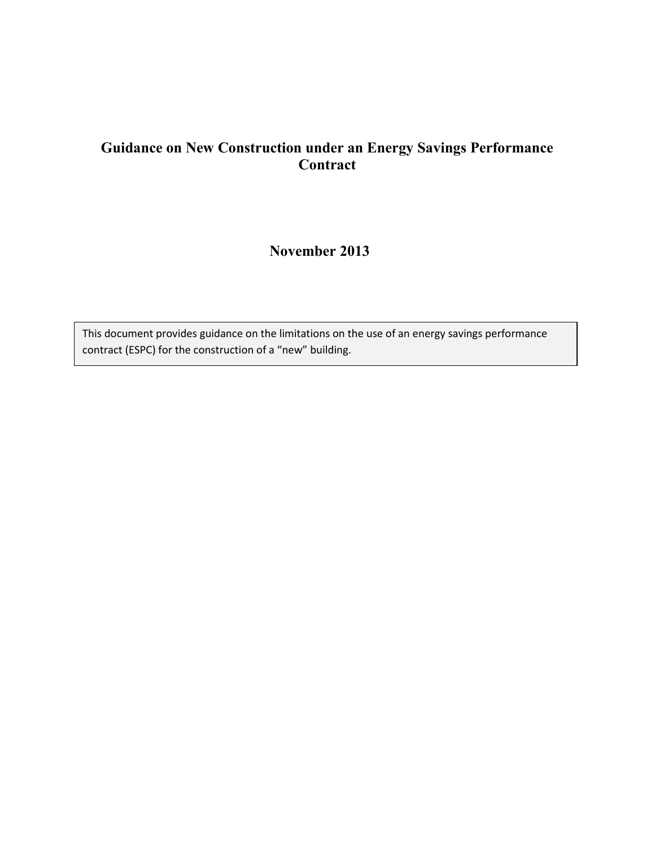# **Guidance on New Construction under an Energy Savings Performance Contract**

# **November 2013**

This document provides guidance on the limitations on the use of an energy savings performance contract (ESPC) for the construction of a "new" building.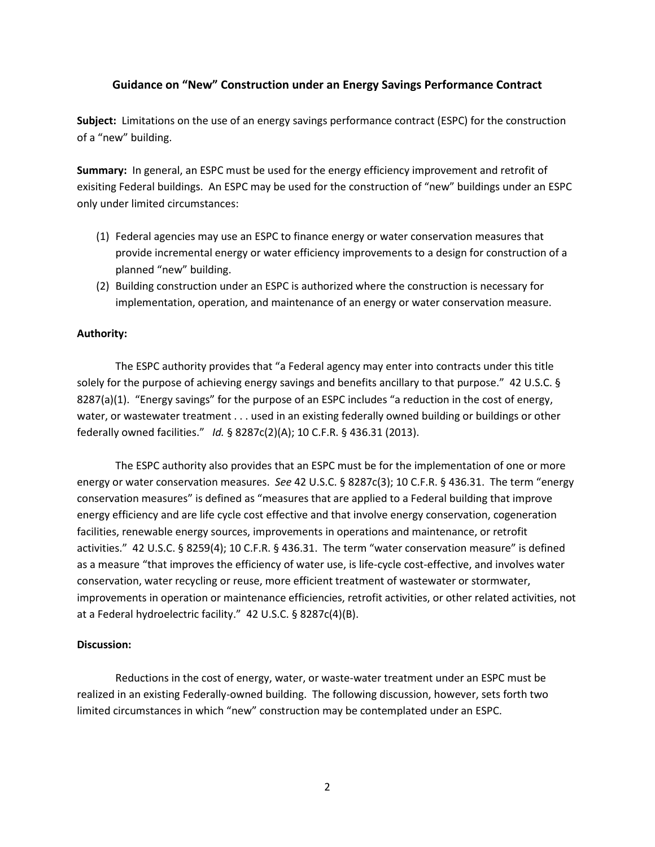# **Guidance on "New" Construction under an Energy Savings Performance Contract**

**Subject:** Limitations on the use of an energy savings performance contract (ESPC) for the construction of a "new" building.

**Summary:** In general, an ESPC must be used for the energy efficiency improvement and retrofit of exisiting Federal buildings. An ESPC may be used for the construction of "new" buildings under an ESPC only under limited circumstances:

- (1) Federal agencies may use an ESPC to finance energy or water conservation measures that provide incremental energy or water efficiency improvements to a design for construction of a planned "new" building.
- (2) Building construction under an ESPC is authorized where the construction is necessary for implementation, operation, and maintenance of an energy or water conservation measure.

## **Authority:**

The ESPC authority provides that "a Federal agency may enter into contracts under this title solely for the purpose of achieving energy savings and benefits ancillary to that purpose." 42 U.S.C. § 8287(a)(1). "Energy savings" for the purpose of an ESPC includes "a reduction in the cost of energy, water, or wastewater treatment . . . used in an existing federally owned building or buildings or other federally owned facilities." *Id.* § 8287c(2)(A); 10 C.F.R. § 436.31 (2013).

The ESPC authority also provides that an ESPC must be for the implementation of one or more energy or water conservation measures. *See* 42 U.S.C. § 8287c(3); 10 C.F.R. § 436.31. The term "energy conservation measures" is defined as "measures that are applied to a Federal building that improve energy efficiency and are life cycle cost effective and that involve energy conservation, cogeneration facilities, renewable energy sources, improvements in operations and maintenance, or retrofit activities." 42 U.S.C. § 8259(4); 10 C.F.R. § 436.31. The term "water conservation measure" is defined as a measure "that improves the efficiency of water use, is life-cycle cost-effective, and involves water conservation, water recycling or reuse, more efficient treatment of wastewater or stormwater, improvements in operation or maintenance efficiencies, retrofit activities, or other related activities, not at a Federal hydroelectric facility." 42 U.S.C. § 8287c(4)(B).

### **Discussion:**

Reductions in the cost of energy, water, or waste-water treatment under an ESPC must be realized in an existing Federally-owned building. The following discussion, however, sets forth two limited circumstances in which "new" construction may be contemplated under an ESPC.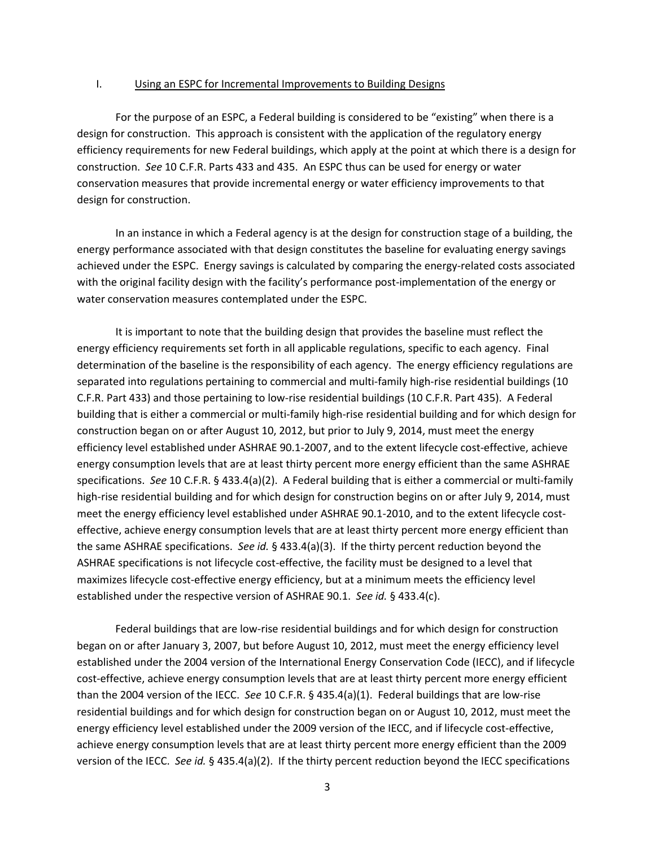#### I. Using an ESPC for Incremental Improvements to Building Designs

For the purpose of an ESPC, a Federal building is considered to be "existing" when there is a design for construction. This approach is consistent with the application of the regulatory energy efficiency requirements for new Federal buildings, which apply at the point at which there is a design for construction. *See* 10 C.F.R. Parts 433 and 435. An ESPC thus can be used for energy or water conservation measures that provide incremental energy or water efficiency improvements to that design for construction.

In an instance in which a Federal agency is at the design for construction stage of a building, the energy performance associated with that design constitutes the baseline for evaluating energy savings achieved under the ESPC. Energy savings is calculated by comparing the energy-related costs associated with the original facility design with the facility's performance post-implementation of the energy or water conservation measures contemplated under the ESPC.

It is important to note that the building design that provides the baseline must reflect the energy efficiency requirements set forth in all applicable regulations, specific to each agency. Final determination of the baseline is the responsibility of each agency. The energy efficiency regulations are separated into regulations pertaining to commercial and multi-family high-rise residential buildings (10 C.F.R. Part 433) and those pertaining to low-rise residential buildings (10 C.F.R. Part 435). A Federal building that is either a commercial or multi-family high-rise residential building and for which design for construction began on or after August 10, 2012, but prior to July 9, 2014, must meet the energy efficiency level established under ASHRAE 90.1-2007, and to the extent lifecycle cost-effective, achieve energy consumption levels that are at least thirty percent more energy efficient than the same ASHRAE specifications. *See* 10 C.F.R. § 433.4(a)(2). A Federal building that is either a commercial or multi-family high-rise residential building and for which design for construction begins on or after July 9, 2014, must meet the energy efficiency level established under ASHRAE 90.1-2010, and to the extent lifecycle costeffective, achieve energy consumption levels that are at least thirty percent more energy efficient than the same ASHRAE specifications. *See id.* § 433.4(a)(3). If the thirty percent reduction beyond the ASHRAE specifications is not lifecycle cost-effective, the facility must be designed to a level that maximizes lifecycle cost-effective energy efficiency, but at a minimum meets the efficiency level established under the respective version of ASHRAE 90.1. *See id.* § 433.4(c).

Federal buildings that are low-rise residential buildings and for which design for construction began on or after January 3, 2007, but before August 10, 2012, must meet the energy efficiency level established under the 2004 version of the International Energy Conservation Code (IECC), and if lifecycle cost-effective, achieve energy consumption levels that are at least thirty percent more energy efficient than the 2004 version of the IECC. *See* 10 C.F.R. § 435.4(a)(1). Federal buildings that are low-rise residential buildings and for which design for construction began on or August 10, 2012, must meet the energy efficiency level established under the 2009 version of the IECC, and if lifecycle cost-effective, achieve energy consumption levels that are at least thirty percent more energy efficient than the 2009 version of the IECC. *See id.* § 435.4(a)(2). If the thirty percent reduction beyond the IECC specifications